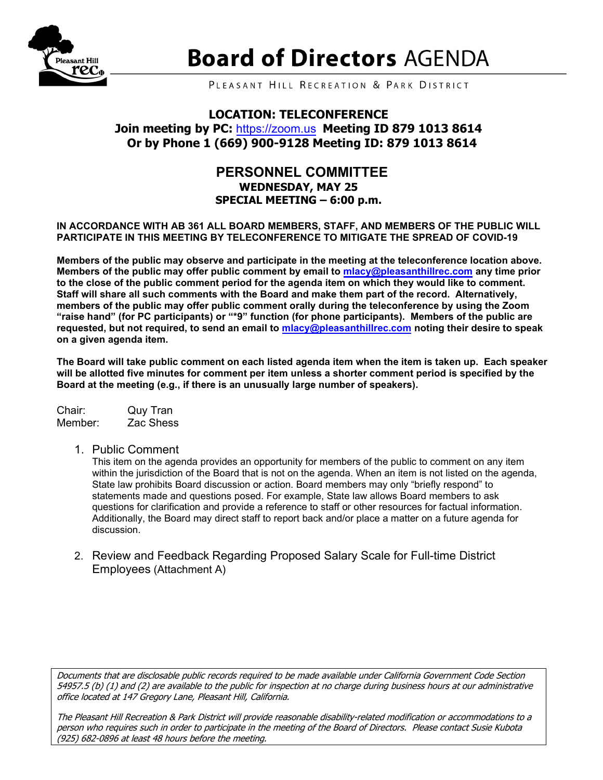

# **Board of Directors AGENDA**

PLEASANT HILL RECREATION & PARK DISTRICT

#### **LOCATION: TELECONFERENCE**

## **Join meeting by PC:** [https://zoom.us](https://us02web.zoom.us/j/87910138614) **Meeting ID 879 1013 8614 Or by Phone 1 (669) 900-9128 Meeting ID: 879 1013 8614**

#### **PERSONNEL COMMITTEE WEDNESDAY, MAY 25 SPECIAL MEETING – 6:00 p.m.**

**IN ACCORDANCE WITH AB 361 ALL BOARD MEMBERS, STAFF, AND MEMBERS OF THE PUBLIC WILL PARTICIPATE IN THIS MEETING BY TELECONFERENCE TO MITIGATE THE SPREAD OF COVID-19**

**Members of the public may observe and participate in the meeting at the teleconference location above. Members of the public may offer public comment by email to [mlacy@pleasanthillrec.com](mailto:mlacy@pleasanthillrec.com) any time prior to the close of the public comment period for the agenda item on which they would like to comment. Staff will share all such comments with the Board and make them part of the record. Alternatively, members of the public may offer public comment orally during the teleconference by using the Zoom "raise hand" (for PC participants) or "\*9" function (for phone participants). Members of the public are requested, but not required, to send an email to [mlacy@pleasanthillrec.com](mailto:mlacy@pleasanthillrec.com) noting their desire to speak on a given agenda item.**

**The Board will take public comment on each listed agenda item when the item is taken up. Each speaker will be allotted five minutes for comment per item unless a shorter comment period is specified by the Board at the meeting (e.g., if there is an unusually large number of speakers).**

Chair: Quy Tran Zac Shess

1. Public Comment

This item on the agenda provides an opportunity for members of the public to comment on any item within the jurisdiction of the Board that is not on the agenda. When an item is not listed on the agenda, State law prohibits Board discussion or action. Board members may only "briefly respond" to statements made and questions posed. For example, State law allows Board members to ask questions for clarification and provide a reference to staff or other resources for factual information. Additionally, the Board may direct staff to report back and/or place a matter on a future agenda for discussion.

2. Review and Feedback Regarding Proposed Salary Scale for Full-time District Employees (Attachment A)

Documents that are disclosable public records required to be made available under California Government Code Section 54957.5 (b) (1) and (2) are available to the public for inspection at no charge during business hours at our administrative office located at 147 Gregory Lane, Pleasant Hill, California.

The Pleasant Hill Recreation & Park District will provide reasonable disability-related modification or accommodations to a person who requires such in order to participate in the meeting of the Board of Directors. Please contact Susie Kubota (925) 682-0896 at least 48 hours before the meeting.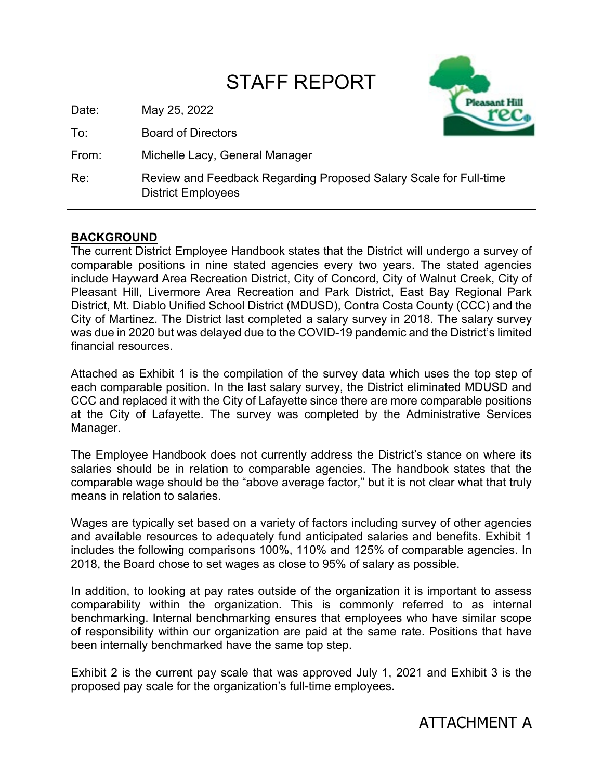## STAFF REPORT

Date: May 25, 2022

To: Board of Directors

From: Michelle Lacy, General Manager



Re: Review and Feedback Regarding Proposed Salary Scale for Full-time District Employees

## **BACKGROUND**

The current District Employee Handbook states that the District will undergo a survey of comparable positions in nine stated agencies every two years. The stated agencies include Hayward Area Recreation District, City of Concord, City of Walnut Creek, City of Pleasant Hill, Livermore Area Recreation and Park District, East Bay Regional Park District, Mt. Diablo Unified School District (MDUSD), Contra Costa County (CCC) and the City of Martinez. The District last completed a salary survey in 2018. The salary survey was due in 2020 but was delayed due to the COVID-19 pandemic and the District's limited financial resources.

Attached as Exhibit 1 is the compilation of the survey data which uses the top step of each comparable position. In the last salary survey, the District eliminated MDUSD and CCC and replaced it with the City of Lafayette since there are more comparable positions at the City of Lafayette. The survey was completed by the Administrative Services Manager.

The Employee Handbook does not currently address the District's stance on where its salaries should be in relation to comparable agencies. The handbook states that the comparable wage should be the "above average factor," but it is not clear what that truly means in relation to salaries.

Wages are typically set based on a variety of factors including survey of other agencies and available resources to adequately fund anticipated salaries and benefits. Exhibit 1 includes the following comparisons 100%, 110% and 125% of comparable agencies. In 2018, the Board chose to set wages as close to 95% of salary as possible.

In addition, to looking at pay rates outside of the organization it is important to assess comparability within the organization. This is commonly referred to as internal benchmarking. Internal benchmarking ensures that employees who have similar scope of responsibility within our organization are paid at the same rate. Positions that have been internally benchmarked have the same top step.

Exhibit 2 is the current pay scale that was approved July 1, 2021 and Exhibit 3 is the proposed pay scale for the organization's full-time employees.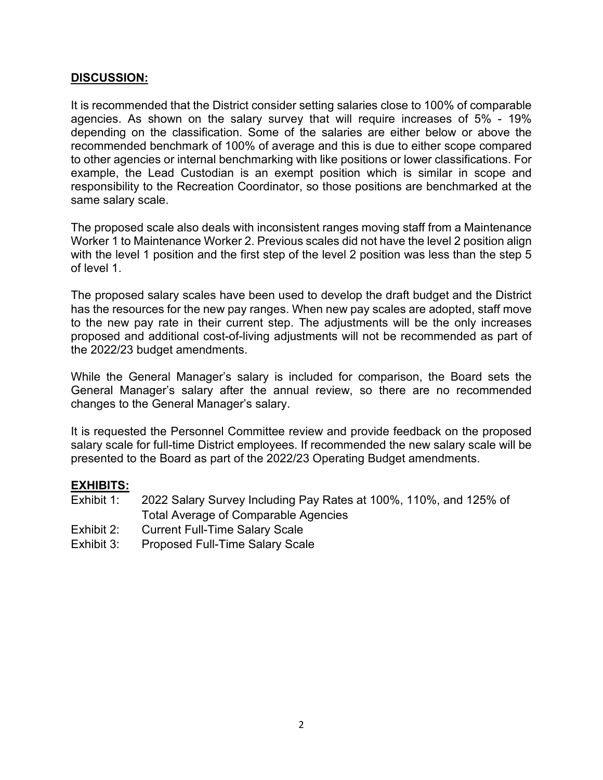#### **DISCUSSION:**

It is recommended that the District consider setting salaries close to 100% of comparable agencies. As shown on the salary survey that will require increases of 5% - 19% depending on the classification. Some of the salaries are either below or above the recommended benchmark of 100% of average and this is due to either scope compared to other agencies or internal benchmarking with like positions or lower classifications. For example, the Lead Custodian is an exempt position which is similar in scope and responsibility to the Recreation Coordinator, so those positions are benchmarked at the same salary scale.

The proposed scale also deals with inconsistent ranges moving staff from a Maintenance Worker 1 to Maintenance Worker 2. Previous scales did not have the level 2 position align with the level 1 position and the first step of the level 2 position was less than the step 5 of level 1.

The proposed salary scales have been used to develop the draft budget and the District has the resources for the new pay ranges. When new pay scales are adopted, staff move to the new pay rate in their current step. The adjustments will be the only increases proposed and additional cost-of-living adjustments will not be recommended as part of the 2022/23 budget amendments.

While the General Manager's salary is included for comparison, the Board sets the General Manager's salary after the annual review, so there are no recommended changes to the General Manager's salary.

It is requested the Personnel Committee review and provide feedback on the proposed salary scale for full-time District employees. If recommended the new salary scale will be presented to the Board as part of the 2022/23 Operating Budget amendments.

#### **EXHIBITS:**

- Exhibit 1: 2022 Salary Survey Including Pay Rates at 100%, 110%, and 125% of Total Average of Comparable Agencies
- Exhibit 2: Current Full-Time Salary Scale
- Exhibit 3: Proposed Full-Time Salary Scale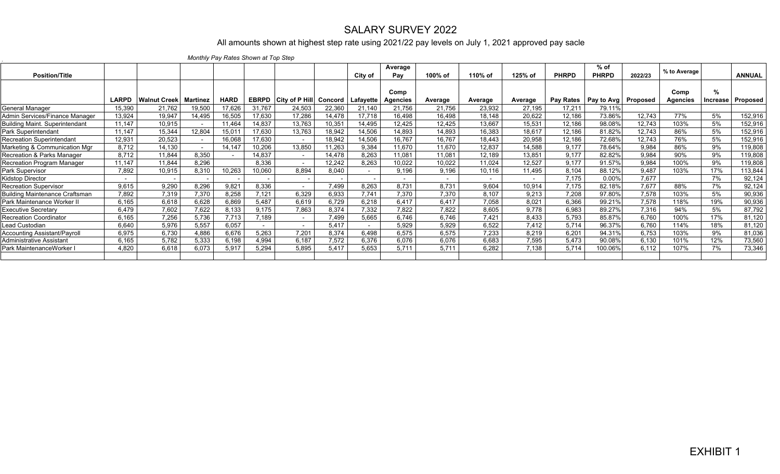## SALARY SURVEY 2022

## All amounts shown at highest step rate using 2021/22 pay levels on July 1, 2021 approved pay sacle

*Monthly Pay Rates Shown at Top Step* 

|                                       |                          |                                |        |             |        |                             |         |           | Average         |                          |         |         |                  | $%$ of                |         |                 |          |               |
|---------------------------------------|--------------------------|--------------------------------|--------|-------------|--------|-----------------------------|---------|-----------|-----------------|--------------------------|---------|---------|------------------|-----------------------|---------|-----------------|----------|---------------|
| <b>Position/Title</b>                 |                          |                                |        |             |        |                             |         | City of   | Pay             | 100% of                  | 110% of | 125% of | <b>PHRPD</b>     | <b>PHRPD</b>          | 2022/23 | % to Average    |          | <b>ANNUAL</b> |
|                                       |                          |                                |        |             |        |                             |         |           | Comp            |                          |         |         |                  |                       |         | Comp            | %        |               |
|                                       | <b>LARPD</b>             | <b>Walnut Creek   Martinez</b> |        | <b>HARD</b> |        | <b>EBRPD</b> City of P Hill | Concord | Lafayette | <b>Agencies</b> | Average                  | Average | Average | <b>Pav Rates</b> | Pay to Avg   Proposed |         | <b>Agencies</b> | Increase | Proposed      |
| General Manager                       | 15,390                   | 21,762                         | 19,500 | 17,626      | 31,767 | 24,503                      | 22,360  | 21,140    | 21,756          | 21,756                   | 23,932  | 27,195  | 17,211           | 79.11%                |         |                 |          |               |
| Admin Services/Finance Manager        | 13,924                   | 19,947                         | 14,495 | 16,505      | 17,630 | 17,286                      | 14,478  | 17,718    | 16,498          | 16,498                   | 18,148  | 20,622  | 12,186           | 73.86%                | 12,743  | 77%             | 5%       | 152,916       |
| <b>Building Maint. Superintendant</b> | 11,147                   | 10,915                         |        | 11,464      | 14,837 | 13,763                      | 10,351  | 14,495    | 12,425          | 12,425                   | 13,667  | 15,531  | 12,186           | 98.08%                | 12,743  | 103%            | 5%       | 152,916       |
| Park Superintendant                   | 11,147                   | 15,344                         | 12,804 | 15,01       | 17,630 | 13,763                      | 18,942  | 14,506    | 14,893          | 14,893                   | 16,383  | 18,617  | 12,186           | 81.82%                | 12,743  | 86%             | 5%       | 152,916       |
| <b>Recreation Superintendant</b>      | 12,931                   | 20,523                         |        | 16,068      | 17,630 | $\sim$                      | 18,942  | 14,506    | 16,767          | 16,767                   | 18,443  | 20,958  | 12,186           | 72.68%                | 12,743  | 76%             | 5%       | 152,916       |
| Marketing & Communication Mgr         | 8,712                    | 14,130                         |        | 14,147      | 10,206 | 13,850                      | 11,263  | 9,384     | 11,670          | 11,670                   | 12,837  | 14,588  | 9,177            | 78.64%                | 9.984   | 86%             | 9%       | 119,808       |
| Recreation & Parks Manager            | 8.712                    | 11,844                         | 8,350  |             | 14,837 | $\sim$                      | 14,478  | 8,263     | 11,081          | 11,081                   | 12,189  | 13,851  | 9,177            | 82.82%                | 9,984   | 90%             | 9%       | 119,808       |
| Recreation Program Manager            | 11.147                   | 11,844                         | 8.296  |             | 8.336  | $\overline{\phantom{0}}$    | 12,242  | 8.263     | 10,022          | 10,022                   | 11,024  | 12,527  | 9.177            | 91.57%                | 9.984   | 100%            | 9%       | 119,808       |
| Park Supervisor                       | 7,892                    | 10,915                         | 8,310  | 10,263      | 10,060 | 8,894                       | 8,040   |           | 9,196           | 9,196                    | 10,116  | 11,495  | 8,104            | 88.12%                | 9.487   | 103%            | 17%      | 113,844       |
| Kidstop Director                      | $\overline{\phantom{0}}$ |                                |        |             |        |                             |         |           | $\sim$          | $\overline{\phantom{a}}$ |         |         | 7.175            | 0.00%                 | 7.677   |                 | 7%       | 92,124        |
| Recreation Supervisor                 | 9.615                    | 9.290                          | 8.296  | 9,821       | 8.336  | $\overline{\phantom{a}}$    | 7,499   | 8.263     | 8.731           | 8.731                    | 9.604   | 10,914  | 7.175            | 82.18%                | 7.677   | 88%             | 7%       | 92,124        |
| Building Maintenance Craftsman        | 7.892                    | 7,319                          | 7,370  | 8.258       | 7,121  | 6,329                       | 6.933   | 7.741     | 7.370           | 7.370                    | 8.107   | 9,213   | 7.208            | 97.80%                | 7.578   | 103%            | 5%       | 90,936        |
| Park Maintenance Worker II            | 6.165                    | 6,618                          | 6,628  | 6,869       | 5.487  | 6,619                       | 6.729   | 6.218     | 6.417           | 6.417                    | 7,058   | 8.021   | 6,366            | 99.21%                | 7.578   | 118%            | 19%      | 90,936        |
| Executive Secretary                   | 6,479                    | 7,602                          | 7,622  | 8,133       | 9,175  | 7,863                       | 8,374   | 7,332     | 7.822           | 7.822                    | 8,605   | 9,778   | 6,983            | 89.27%                | 7.316   | 94%             | 5%       | 87,792        |
| Recreation Coordinator                | 6,165                    | 7,256                          | 5,736  | 7,713       | 7,189  | $\overline{\phantom{a}}$    | 7,499   | 5,665     | 6,746           | 6.746                    | 7.421   | 8,433   | 5,793            | 85.87%                | 6.760   | 100%            | 17%      | 81,120        |
| Lead Custodian                        | 6,640                    | 5,976                          | 5,557  | 6,057       |        | $\sim$                      | 5.417   | $\sim$    | 5,929           | 5,929                    | 6,522   | 7,412   | 5,714            | 96.37%                | 6,760   | 114%            | 18%      | 81,120        |
| Accounting Assistant/Payroll          | 6,975                    | 6,730                          | 4,886  | 6,676       | 5,263  | 7.201                       | 8,374   | 6,498     | 6,575           | 6,575                    | 7,233   | 8,219   | 6,201            | 94.31%                | 6,753   | 103%            | 9%       | 81,036        |
| Administrative Assistant              | 6.165                    | 5,782                          | 5,333  | 6.198       | 4,994  | 6.187                       | 7,572   | 6,376     | 6.076           | 6.076                    | 6,683   | 7,595   | 5.473            | 90.08%                | 6.130   | 101%            | 12%      | 73,560        |
| Park MaintenanceWorker                | 4.820                    | 6.618                          | 6,073  | 5,917       | 5,294  | 5,895                       | 5,417   | 5,653     | 5.711           | 5.711                    | 6.282   | 7,138   | 5,714            | 100.06%               | 6.112   | 107%            | 7%       | 73,346        |
|                                       |                          |                                |        |             |        |                             |         |           |                 |                          |         |         |                  |                       |         |                 |          |               |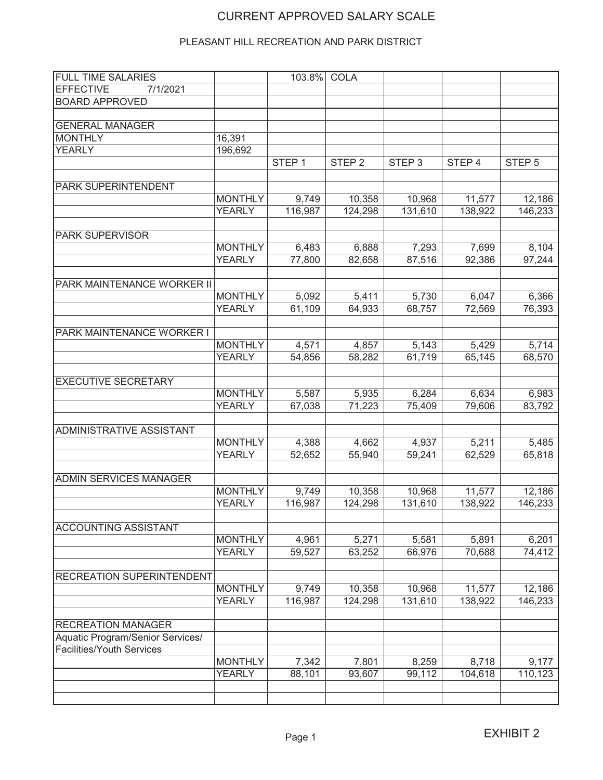## CURRENT APPROVED SALARY SCALE

### PLEASANT HILL RECREATION AND PARK DISTRICT

| <b>FULL TIME SALARIES</b>        |                | 103.8%            | <b>COLA</b>       |                   |         |                   |
|----------------------------------|----------------|-------------------|-------------------|-------------------|---------|-------------------|
| <b>EFFECTIVE</b><br>7/1/2021     |                |                   |                   |                   |         |                   |
| <b>BOARD APPROVED</b>            |                |                   |                   |                   |         |                   |
|                                  |                |                   |                   |                   |         |                   |
| <b>GENERAL MANAGER</b>           |                |                   |                   |                   |         |                   |
| MONTHLY                          | 16,391         |                   |                   |                   |         |                   |
| <b>YEARLY</b>                    | 196,692        |                   |                   |                   |         |                   |
|                                  |                | STEP <sub>1</sub> | STEP <sub>2</sub> | STEP <sub>3</sub> | STEP 4  | STEP <sub>5</sub> |
|                                  |                |                   |                   |                   |         |                   |
| <b>PARK SUPERINTENDENT</b>       |                |                   |                   |                   |         |                   |
|                                  | <b>MONTHLY</b> | 9,749             | 10,358            | 10,968            | 11,577  | 12,186            |
|                                  | <b>YEARLY</b>  | 116,987           | 124,298           | 131,610           | 138,922 | 146,233           |
|                                  |                |                   |                   |                   |         |                   |
| <b>PARK SUPERVISOR</b>           |                |                   |                   |                   |         |                   |
|                                  | <b>MONTHLY</b> | 6,483             | 6,888             | 7,293             | 7,699   | 8,104             |
|                                  | <b>YEARLY</b>  | 77,800            | 82,658            | 87,516            | 92,386  | 97,244            |
|                                  |                |                   |                   |                   |         |                   |
| PARK MAINTENANCE WORKER II       |                |                   |                   |                   |         |                   |
|                                  | <b>MONTHLY</b> | 5,092             | 5,411             | 5,730             | 6,047   | 6,366             |
|                                  | <b>YEARLY</b>  | 61,109            | 64,933            | 68,757            | 72,569  | 76,393            |
|                                  |                |                   |                   |                   |         |                   |
| PARK MAINTENANCE WORKER I        |                |                   |                   |                   |         |                   |
|                                  | <b>MONTHLY</b> | 4,571             | 4,857             | 5,143             | 5,429   | 5,714             |
|                                  | <b>YEARLY</b>  | 54,856            | 58,282            | 61,719            | 65,145  | 68,570            |
|                                  |                |                   |                   |                   |         |                   |
| <b>EXECUTIVE SECRETARY</b>       |                |                   |                   |                   |         |                   |
|                                  | <b>MONTHLY</b> | 5,587             | 5,935             | 6,284             | 6,634   | 6,983             |
|                                  | <b>YEARLY</b>  | 67,038            | 71,223            | 75,409            | 79,606  | 83,792            |
|                                  |                |                   |                   |                   |         |                   |
| <b>ADMINISTRATIVE ASSISTANT</b>  |                |                   |                   |                   |         |                   |
|                                  | <b>MONTHLY</b> | 4,388             | 4,662             | 4,937             | 5,211   | 5,485             |
|                                  | <b>YEARLY</b>  | 52,652            | 55,940            | 59,241            | 62,529  | 65,818            |
|                                  |                |                   |                   |                   |         |                   |
| <b>ADMIN SERVICES MANAGER</b>    |                |                   |                   |                   |         |                   |
|                                  | <b>MONTHLY</b> | 9,749             | 10,358            | 10,968            | 11,577  | 12,186            |
|                                  | <b>YEARLY</b>  | 116,987           | 124,298           | 131,610           | 138,922 | 146,233           |
|                                  |                |                   |                   |                   |         |                   |
| <b>ACCOUNTING ASSISTANT</b>      |                |                   |                   |                   |         |                   |
|                                  | <b>MONTHLY</b> | 4,961             | 5,271             | 5,581             | 5,891   | 6,201             |
|                                  | <b>YEARLY</b>  | 59,527            | 63,252            | 66,976            | 70,688  | 74,412            |
|                                  |                |                   |                   |                   |         |                   |
| <b>RECREATION SUPERINTENDENT</b> |                |                   |                   |                   |         |                   |
|                                  | <b>MONTHLY</b> | 9,749             | 10,358            | 10,968            | 11,577  | 12,186            |
|                                  | <b>YEARLY</b>  | 116,987           | 124,298           | 131,610           | 138,922 | 146,233           |
|                                  |                |                   |                   |                   |         |                   |
| <b>RECREATION MANAGER</b>        |                |                   |                   |                   |         |                   |
| Aquatic Program/Senior Services/ |                |                   |                   |                   |         |                   |
| <b>Facilities/Youth Services</b> |                |                   |                   |                   |         |                   |
|                                  | <b>MONTHLY</b> | 7,342             | 7,801             | 8,259             | 8,718   | 9,177             |
|                                  | <b>YEARLY</b>  | 88,101            | 93,607            | 99,112            | 104,618 | 110,123           |
|                                  |                |                   |                   |                   |         |                   |
|                                  |                |                   |                   |                   |         |                   |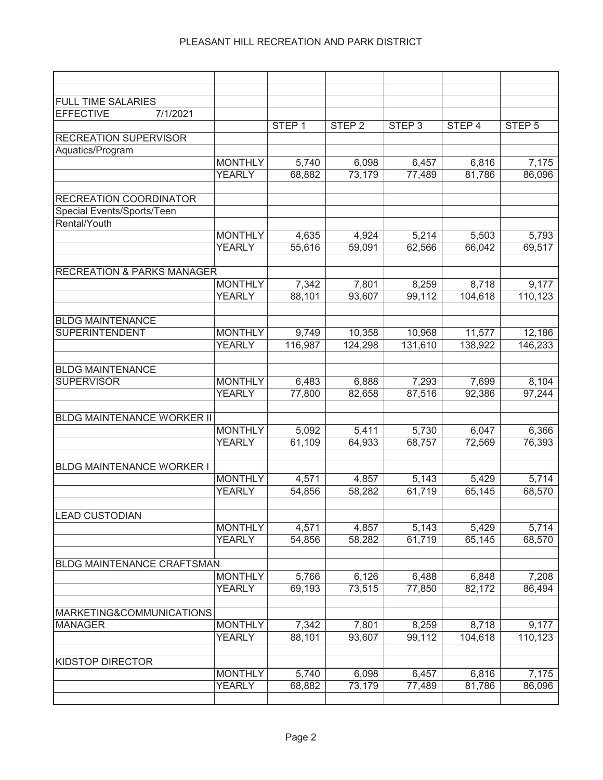| <b>FULL TIME SALARIES</b>             |          |                |                   |                   |                   |         |                   |
|---------------------------------------|----------|----------------|-------------------|-------------------|-------------------|---------|-------------------|
| <b>EFFECTIVE</b>                      | 7/1/2021 |                |                   |                   |                   |         |                   |
|                                       |          |                | STEP <sub>1</sub> | STEP <sub>2</sub> | STEP <sub>3</sub> | STEP 4  | STEP <sub>5</sub> |
| <b>RECREATION SUPERVISOR</b>          |          |                |                   |                   |                   |         |                   |
| Aquatics/Program                      |          |                |                   |                   |                   |         |                   |
|                                       |          | <b>MONTHLY</b> | 5,740             | 6,098             | 6,457             | 6,816   | 7,175             |
|                                       |          | <b>YEARLY</b>  | 68,882            | 73,179            | 77,489            | 81,786  | 86,096            |
| <b>RECREATION COORDINATOR</b>         |          |                |                   |                   |                   |         |                   |
| Special Events/Sports/Teen            |          |                |                   |                   |                   |         |                   |
| Rental/Youth                          |          |                |                   |                   |                   |         |                   |
|                                       |          | <b>MONTHLY</b> | 4,635             | 4,924             | 5,214             | 5,503   | 5,793             |
|                                       |          | <b>YEARLY</b>  | 55,616            | 59,091            | 62,566            | 66,042  | 69,517            |
|                                       |          |                |                   |                   |                   |         |                   |
| <b>RECREATION &amp; PARKS MANAGER</b> |          |                |                   |                   |                   |         |                   |
|                                       |          | <b>MONTHLY</b> | 7,342             | 7,801             | 8,259             | 8,718   | 9,177             |
|                                       |          | <b>YEARLY</b>  | 88,101            | 93,607            | 99,112            | 104,618 | 110,123           |
|                                       |          |                |                   |                   |                   |         |                   |
| <b>BLDG MAINTENANCE</b>               |          |                |                   |                   |                   |         |                   |
| SUPERINTENDENT                        |          | <b>MONTHLY</b> | 9,749             | 10,358            | 10,968            | 11,577  | 12,186            |
|                                       |          | <b>YEARLY</b>  | 116,987           | 124,298           | 131,610           | 138,922 | 146,233           |
|                                       |          |                |                   |                   |                   |         |                   |
| <b>BLDG MAINTENANCE</b>               |          |                |                   |                   |                   |         |                   |
| <b>SUPERVISOR</b>                     |          | <b>MONTHLY</b> | 6,483             | 6,888             | 7,293             | 7,699   | 8,104             |
|                                       |          | <b>YEARLY</b>  | 77,800            | 82,658            | 87,516            | 92,386  | 97,244            |
|                                       |          |                |                   |                   |                   |         |                   |
| <b>BLDG MAINTENANCE WORKER II</b>     |          |                |                   |                   |                   |         |                   |
|                                       |          | <b>MONTHLY</b> | 5,092             | 5,411             | 5,730             | 6,047   | 6,366             |
|                                       |          | <b>YEARLY</b>  | 61,109            | 64,933            | 68,757            | 72,569  | 76,393            |
|                                       |          |                |                   |                   |                   |         |                   |
| <b>BLDG MAINTENANCE WORKER I</b>      |          |                |                   |                   |                   |         |                   |
|                                       |          | <b>MONTHLY</b> | 4,571             | 4,857             | 5,143             | 5,429   | 5,714             |
|                                       |          | <b>YEARLY</b>  | 54,856            | 58,282            | 61,719            | 65,145  | 68,570            |
|                                       |          |                |                   |                   |                   |         |                   |
| ILEAD CUSTODIAN                       |          | <b>MONTHLY</b> |                   |                   |                   | 5,429   |                   |
|                                       |          | <b>YEARLY</b>  | 4,571<br>54,856   | 4,857<br>58,282   | 5,143<br>61,719   | 65,145  | 5,714<br>68,570   |
|                                       |          |                |                   |                   |                   |         |                   |
| <b>BLDG MAINTENANCE CRAFTSMAN</b>     |          |                |                   |                   |                   |         |                   |
|                                       |          | <b>MONTHLY</b> | 5,766             | 6,126             | 6,488             | 6,848   | 7,208             |
|                                       |          | <b>YEARLY</b>  | 69,193            | 73,515            | 77,850            | 82,172  | 86,494            |
|                                       |          |                |                   |                   |                   |         |                   |
| MARKETING&COMMUNICATIONS              |          |                |                   |                   |                   |         |                   |
| <b>MANAGER</b>                        |          | <b>MONTHLY</b> | 7,342             | 7,801             | 8,259             | 8,718   | 9,177             |
|                                       |          | <b>YEARLY</b>  | 88,101            | 93,607            | 99,112            | 104,618 | 110,123           |
|                                       |          |                |                   |                   |                   |         |                   |
| <b>KIDSTOP DIRECTOR</b>               |          |                |                   |                   |                   |         |                   |
|                                       |          | <b>MONTHLY</b> | 5,740             | 6,098             | 6,457             | 6,816   | 7,175             |
|                                       |          | <b>YEARLY</b>  | 68,882            | 73,179            | 77,489            | 81,786  | 86,096            |
|                                       |          |                |                   |                   |                   |         |                   |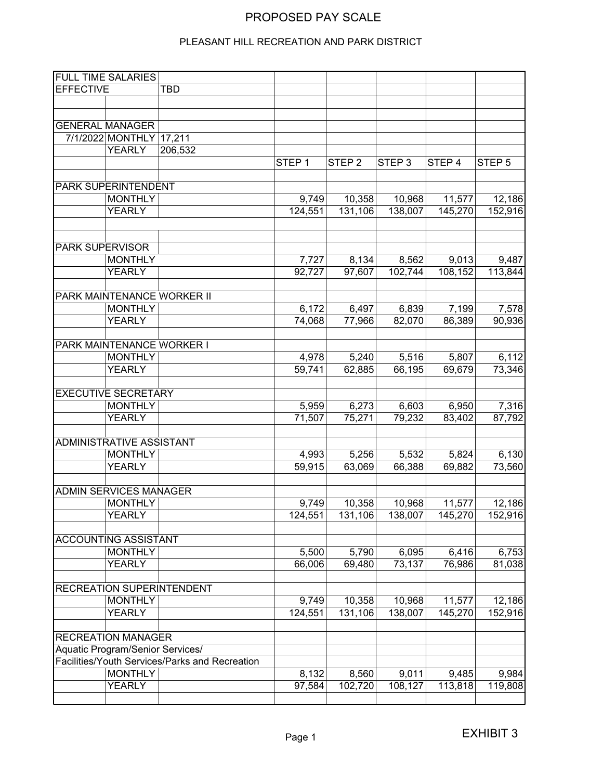## PROPOSED PAY SCALE

### PLEASANT HILL RECREATION AND PARK DISTRICT

|                  | <b>FULL TIME SALARIES</b>        |                                                |                   |                   |                   |                   |                   |
|------------------|----------------------------------|------------------------------------------------|-------------------|-------------------|-------------------|-------------------|-------------------|
| <b>EFFECTIVE</b> |                                  | <b>TBD</b>                                     |                   |                   |                   |                   |                   |
|                  |                                  |                                                |                   |                   |                   |                   |                   |
|                  |                                  |                                                |                   |                   |                   |                   |                   |
|                  | <b>GENERAL MANAGER</b>           |                                                |                   |                   |                   |                   |                   |
|                  | 7/1/2022 MONTHLY                 | 17,211                                         |                   |                   |                   |                   |                   |
|                  | <b>YEARLY</b>                    | 206,532                                        |                   |                   |                   |                   |                   |
|                  |                                  |                                                | STEP <sub>1</sub> | STEP <sub>2</sub> | STEP <sub>3</sub> | STEP <sub>4</sub> | STEP <sub>5</sub> |
|                  |                                  |                                                |                   |                   |                   |                   |                   |
|                  | <b>PARK SUPERINTENDENT</b>       |                                                |                   |                   |                   |                   |                   |
|                  | <b>MONTHLY</b>                   |                                                | 9,749             | 10,358            | 10,968            | 11,577            | 12,186            |
|                  | <b>YEARLY</b>                    |                                                | 124,551           | 131,106           | 138,007           | 145,270           | 152,916           |
|                  |                                  |                                                |                   |                   |                   |                   |                   |
|                  |                                  |                                                |                   |                   |                   |                   |                   |
| PARK SUPERVISOR  |                                  |                                                |                   |                   |                   |                   |                   |
|                  | <b>MONTHLY</b>                   |                                                | 7,727             | 8,134             | 8,562             | 9,013             | 9,487             |
|                  | <b>YEARLY</b>                    |                                                | 92,727            | 97,607            | 102,744           | 108,152           | 113,844           |
|                  |                                  |                                                |                   |                   |                   |                   |                   |
|                  |                                  | PARK MAINTENANCE WORKER II                     |                   |                   |                   |                   |                   |
|                  | <b>MONTHLY</b>                   |                                                | 6,172             | 6,497             | 6,839             | 7,199             | 7,578             |
|                  | <b>YEARLY</b>                    |                                                | 74,068            | 77,966            | 82,070            | 86,389            | 90,936            |
|                  |                                  |                                                |                   |                   |                   |                   |                   |
|                  | PARK MAINTENANCE WORKER I        |                                                |                   |                   |                   |                   |                   |
|                  | <b>MONTHLY</b>                   |                                                | 4,978             | 5,240             | 5,516             | 5,807             | 6,112             |
|                  | <b>YEARLY</b>                    |                                                | 59,741            | 62,885            | 66,195            | 69,679            | 73,346            |
|                  |                                  |                                                |                   |                   |                   |                   |                   |
|                  | <b>EXECUTIVE SECRETARY</b>       |                                                |                   |                   |                   |                   |                   |
|                  | <b>MONTHLY</b><br><b>YEARLY</b>  |                                                | 5,959             | 6,273             | 6,603             | 6,950             | 7,316             |
|                  |                                  |                                                | 71,507            | 75,271            | 79,232            | 83,402            | 87,792            |
|                  | <b>ADMINISTRATIVE ASSISTANT</b>  |                                                |                   |                   |                   |                   |                   |
|                  | <b>MONTHLY</b>                   |                                                | 4,993             | 5,256             | 5,532             | 5,824             | 6,130             |
|                  | <b>YEARLY</b>                    |                                                | 59,915            | 63,069            | 66,388            | 69,882            | 73,560            |
|                  |                                  |                                                |                   |                   |                   |                   |                   |
|                  | <b>ADMIN SERVICES MANAGER</b>    |                                                |                   |                   |                   |                   |                   |
|                  | <b>MONTHLY</b>                   |                                                | 9,749             | 10,358            | 10,968            | 11,577            | 12,186            |
|                  | <b>YEARLY</b>                    |                                                | 124, 551          | 131,106           | 138,007           | 145,270           | 152,916           |
|                  |                                  |                                                |                   |                   |                   |                   |                   |
|                  | ACCOUNTING ASSISTANT             |                                                |                   |                   |                   |                   |                   |
|                  | <b>MONTHLY</b>                   |                                                | 5,500             | 5,790             | 6,095             | 6,416             | 6,753             |
|                  | <b>YEARLY</b>                    |                                                | 66,006            | 69,480            | 73,137            | 76,986            | 81,038            |
|                  |                                  |                                                |                   |                   |                   |                   |                   |
|                  |                                  | RECREATION SUPERINTENDENT                      |                   |                   |                   |                   |                   |
|                  | <b>MONTHLY</b>                   |                                                | 9,749             | 10,358            | 10,968            | 11,577            | 12,186            |
|                  | <b>YEARLY</b>                    |                                                | 124,551           | 131,106           | 138,007           | 145,270           | 152,916           |
|                  |                                  |                                                |                   |                   |                   |                   |                   |
|                  | <b>RECREATION MANAGER</b>        |                                                |                   |                   |                   |                   |                   |
|                  | Aquatic Program/Senior Services/ |                                                |                   |                   |                   |                   |                   |
|                  |                                  | Facilities/Youth Services/Parks and Recreation |                   |                   |                   |                   |                   |
|                  | <b>MONTHLY</b>                   |                                                | 8,132             | 8,560             | 9,011             | 9,485             | 9,984             |
|                  | <b>YEARLY</b>                    |                                                | 97,584            | 102,720           | 108,127           | 113,818           | 119,808           |
|                  |                                  |                                                |                   |                   |                   |                   |                   |